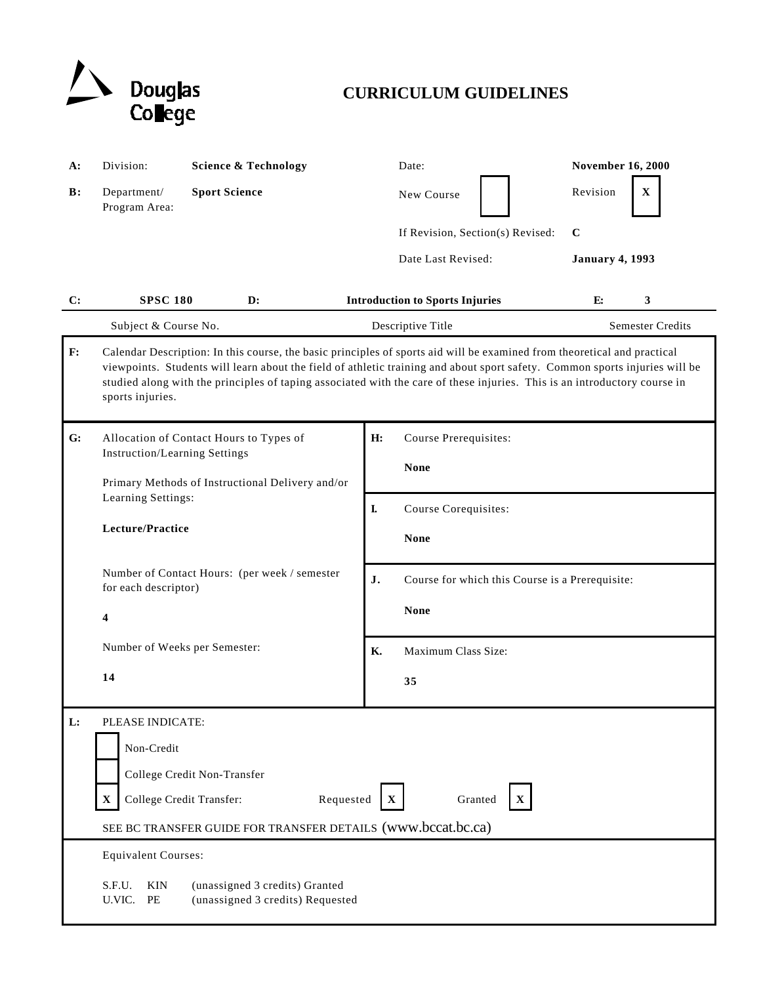

## **CURRICULUM GUIDELINES**

| <b>A:</b>      | Division:                                                                                                                                                                                                                                                                                                                                                                                                | <b>Science &amp; Technology</b>                                                 | Date:                                                 | <b>November 16, 2000</b> |
|----------------|----------------------------------------------------------------------------------------------------------------------------------------------------------------------------------------------------------------------------------------------------------------------------------------------------------------------------------------------------------------------------------------------------------|---------------------------------------------------------------------------------|-------------------------------------------------------|--------------------------|
| $\mathbf{B}$ : | Department/<br>Program Area:                                                                                                                                                                                                                                                                                                                                                                             | <b>Sport Science</b>                                                            | New Course                                            | Revision<br>$\mathbf X$  |
|                |                                                                                                                                                                                                                                                                                                                                                                                                          |                                                                                 | If Revision, Section(s) Revised:                      | $\mathbf C$              |
|                |                                                                                                                                                                                                                                                                                                                                                                                                          |                                                                                 | Date Last Revised:                                    | <b>January 4, 1993</b>   |
| C:             | <b>SPSC 180</b>                                                                                                                                                                                                                                                                                                                                                                                          | $\mathbf{D}$ :                                                                  | <b>Introduction to Sports Injuries</b>                | 3<br>E:                  |
|                | Subject & Course No.                                                                                                                                                                                                                                                                                                                                                                                     |                                                                                 | Descriptive Title                                     | <b>Semester Credits</b>  |
| F:             | Calendar Description: In this course, the basic principles of sports aid will be examined from theoretical and practical<br>viewpoints. Students will learn about the field of athletic training and about sport safety. Common sports injuries will be<br>studied along with the principles of taping associated with the care of these injuries. This is an introductory course in<br>sports injuries. |                                                                                 |                                                       |                          |
| G:             |                                                                                                                                                                                                                                                                                                                                                                                                          | Allocation of Contact Hours to Types of<br><b>Instruction/Learning Settings</b> | H:<br>Course Prerequisites:<br>None                   |                          |
|                | Learning Settings:                                                                                                                                                                                                                                                                                                                                                                                       | Primary Methods of Instructional Delivery and/or                                | I.<br>Course Corequisites:                            |                          |
|                | Lecture/Practice                                                                                                                                                                                                                                                                                                                                                                                         |                                                                                 | <b>None</b>                                           |                          |
|                | Number of Contact Hours: (per week / semester<br>for each descriptor)<br>4<br>Number of Weeks per Semester:                                                                                                                                                                                                                                                                                              |                                                                                 | J.<br>Course for which this Course is a Prerequisite: |                          |
|                |                                                                                                                                                                                                                                                                                                                                                                                                          |                                                                                 | <b>None</b>                                           |                          |
|                |                                                                                                                                                                                                                                                                                                                                                                                                          |                                                                                 | Maximum Class Size:<br><b>K.</b>                      |                          |
|                | 14                                                                                                                                                                                                                                                                                                                                                                                                       |                                                                                 | 35                                                    |                          |
| L:             | PLEASE INDICATE:<br>Non-Credit<br>College Credit Non-Transfer<br>College Credit Transfer:<br>Requested<br>Granted<br>$\mathbf X$<br>$\mathbf X$<br>X<br>SEE BC TRANSFER GUIDE FOR TRANSFER DETAILS (www.bccat.bc.ca)                                                                                                                                                                                     |                                                                                 |                                                       |                          |
|                | <b>Equivalent Courses:</b><br>S.F.U.<br>KIN<br>U.VIC.<br>PE                                                                                                                                                                                                                                                                                                                                              | (unassigned 3 credits) Granted<br>(unassigned 3 credits) Requested              |                                                       |                          |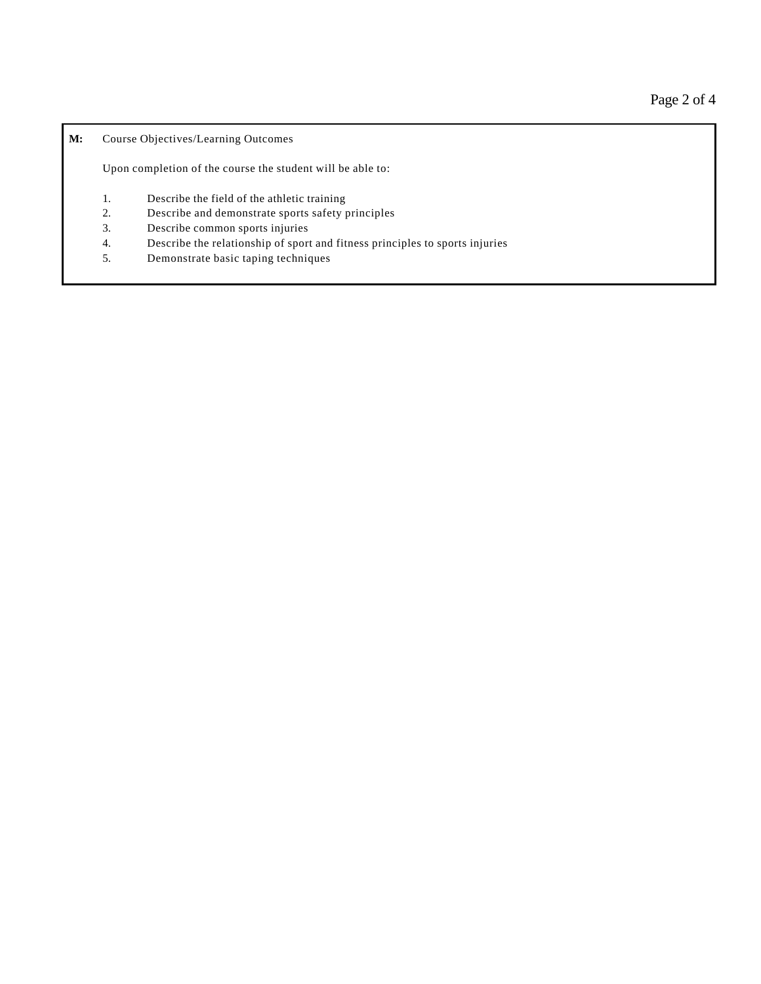**M:** Course Objectives/Learning Outcomes

Upon completion of the course the student will be able to:

- 1. Describe the field of the athletic training
- 2. Describe and demonstrate sports safety principles
- 3. Describe common sports injuries
- 4. Describe the relationship of sport and fitness principles to sports injuries
- 5. Demonstrate basic taping techniques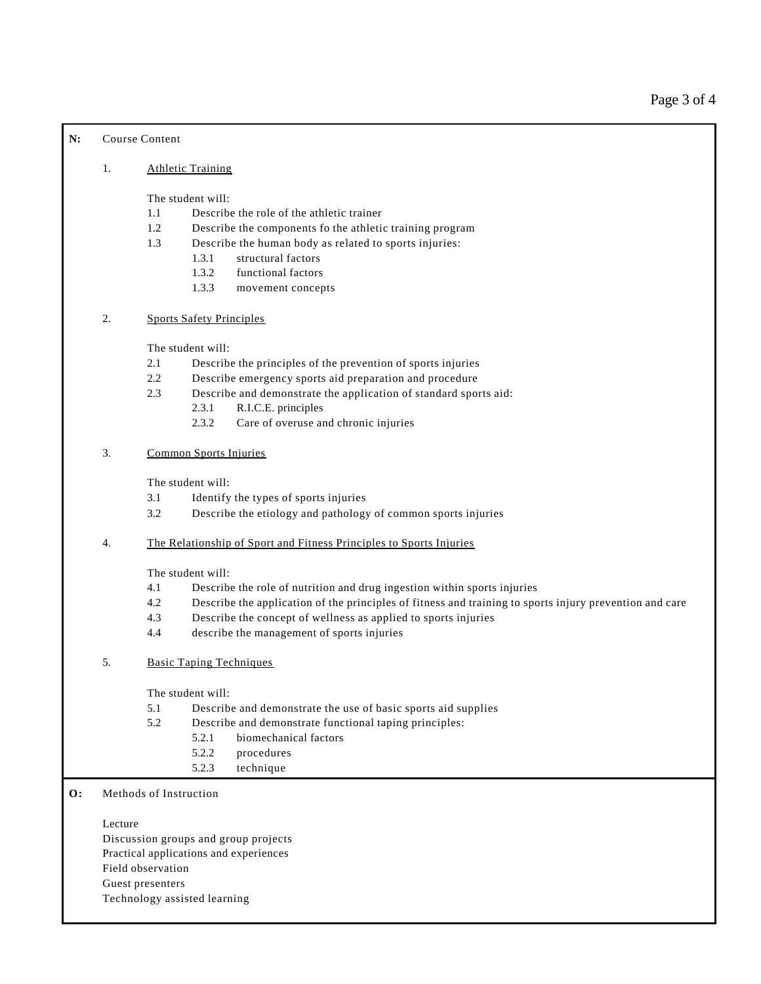## **N:** Course Content

## 1. Athletic Training

The student will:

- 1.1 Describe the role of the athletic trainer
- 1.2 Describe the components fo the athletic training program
- 1.3 Describe the human body as related to sports injuries:
	- 1.3.1 structural factors
	- 1.3.2 functional factors
	- 1.3.3 movement concepts
- 2. Sports Safety Principles

The student will:

- 2.1 Describe the principles of the prevention of sports injuries
- 2.2 Describe emergency sports aid preparation and procedure
- 2.3 Describe and demonstrate the application of standard sports aid:
	- 2.3.1 R.I.C.E. principles
	- 2.3.2 Care of overuse and chronic injuries
- 3. Common Sports Injuries

The student will:

- 3.1 Identify the types of sports injuries
- 3.2 Describe the etiology and pathology of common sports injuries
- 4. The Relationship of Sport and Fitness Principles to Sports Injuries

The student will:

- 4.1 Describe the role of nutrition and drug ingestion within sports injuries
- 4.2 Describe the application of the principles of fitness and training to sports injury prevention and care
- 4.3 Describe the concept of wellness as applied to sports injuries
- 4.4 describe the management of sports injuries
- 5. Basic Taping Techniques

The student will:

- 5.1 Describe and demonstrate the use of basic sports aid supplies
- 5.2 Describe and demonstrate functional taping principles:
	- 5.2.1 biomechanical factors
	- 5.2.2 procedures
	- 5.2.3 technique

## **O:** Methods of Instruction

Lecture Discussion groups and group projects Practical applications and experiences Field observation Guest presenters Technology assisted learning